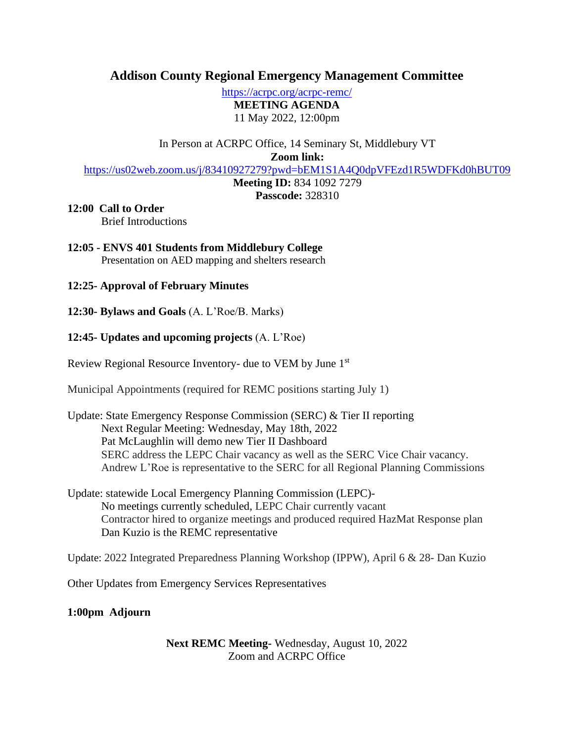# **Addison County Regional Emergency Management Committee**

<https://acrpc.org/acrpc-remc/> **MEETING AGENDA** 11 May 2022, 12:00pm

In Person at ACRPC Office, 14 Seminary St, Middlebury VT

**Zoom link:**

<https://us02web.zoom.us/j/83410927279?pwd=bEM1S1A4Q0dpVFEzd1R5WDFKd0hBUT09>

**Meeting ID:** 834 1092 7279

**Passcode:** 328310

## **12:00 Call to Order**

Brief Introductions

### **12:05 - ENVS 401 Students from Middlebury College** Presentation on AED mapping and shelters research

# **12:25- Approval of February Minutes**

**12:30- Bylaws and Goals** (A. L'Roe/B. Marks)

# **12:45- Updates and upcoming projects** (A. L'Roe)

Review Regional Resource Inventory- due to VEM by June 1st

Municipal Appointments (required for REMC positions starting July 1)

- Update: State Emergency Response Commission (SERC) & Tier II reporting Next Regular Meeting: Wednesday, May 18th, 2022 Pat McLaughlin will demo new Tier II Dashboard SERC address the LEPC Chair vacancy as well as the SERC Vice Chair vacancy. Andrew L'Roe is representative to the SERC for all Regional Planning Commissions
- Update: statewide Local Emergency Planning Commission (LEPC)- No meetings currently scheduled, LEPC Chair currently vacant Contractor hired to organize meetings and produced required HazMat Response plan Dan Kuzio is the REMC representative

Update: 2022 Integrated Preparedness Planning Workshop (IPPW), April 6 & 28- Dan Kuzio

Other Updates from Emergency Services Representatives

**1:00pm Adjourn**

**Next REMC Meeting-** Wednesday, August 10, 2022 Zoom and ACRPC Office